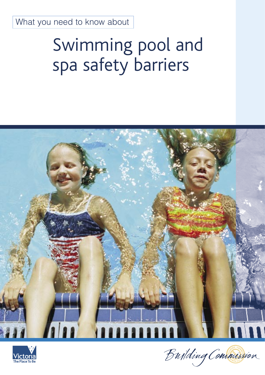# Swimming pool and spa safety barriers





Building Commission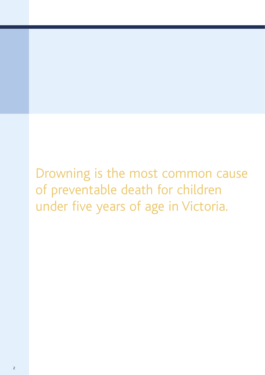Drowning is the most common cause of preventable death for children under five years of age in Victoria.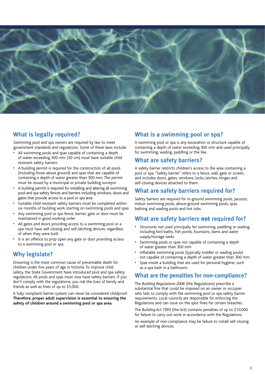

## **What is legally required?**

Swimming pool and spa owners are required by law to meet government standards and regulations. Some of these laws include:

- All swimming pools and spas capable of containing a depth of water exceeding 300 mm (30 cm) must have suitable child resistant safety barriers
- A building permit is required for the construction of all pools (including those above ground) and spas that are capable of containing a depth of water greater than 300 mm. The permit must be issued by a municipal or private building surveyor
- A building permit is required for installing and altering all swimming pool and spa safety fences and barriers including windows, doors and gates that provide access to a pool or spa area
- Suitable child resistant safety barriers must be completed within six months of building work starting on swimming pools and spas
- Any swimming pool or spa fence, barrier, gate or door must be maintained in good working order
- All gates and doors providing access to a swimming pool or a spa must have self-closing and self-latching devices, regardless of when they were built
- It is an offence to prop open any gate or door providing access to a swimming pool or spa.

## **Why legislate?**

Drowning is the most common cause of preventable death for children under five years of age in Victoria. To improve child safety, the State Government have introduced pool and spa safety regulations. All pools and spas must now have safety barriers. If you don't comply with the regulations, you risk the lives of family and friends as well as fines of up to \$5,000.

A fully compliant barrier system can never be considered childproof. **Therefore, proper adult supervision is essential to ensuring the safety of children around a swimming pool or spa area.**

## **What is a swimming pool or spa?**

A swimming pool or spa is any excavation or structure capable of containing a depth of water exceeding 300 mm and used principally for swimming, wading, paddling or the like.

## **What are safety barriers?**

A safety barrier restricts children's access to the area containing a pool or spa. "Safety barrier" refers to a fence, wall, gate or screen, and includes doors, gates, windows, locks, latches, hinges and self-closing devices attached to them.

## **What are safety barriers required for?**

Safety barriers are required for in-ground swimming pools, jacuzzis, indoor swimming pools, above-ground swimming pools, spas, bathing and wading pools and hot tubs.

## **What are safety barriers** not **required for?**

- Structures not used principally for swimming, paddling or wading, including bird baths, fish ponds, fountains, dams and water supply/storage tanks
- Swimming pools or spas not capable of containing a depth of water greater than 300 mm
- Inflatable swimming pools (typically toddler or wading pools) not capable of containing a depth of water greater than 300 mm
- Spas inside a building that are used for personal hygiene, such as a spa bath in a bathroom.

## **What are the penalties for non-compliance?**

The *Building Regulations 2006* (the Regulations) prescribe a substantial fine that could be imposed on an owner or occupier who fails to comply with the swimming pool or spa safety barrier requirements. Local councils are responsible for enforcing the Regulations and can issue on the spot fines for certain breaches.

The *Building Act 1993* (the Act) contains penalties of up to \$10,000 for failure to carry out work in accordance with the Regulations.

An example of non-compliance may be failure to install self-closing or self-latching devices.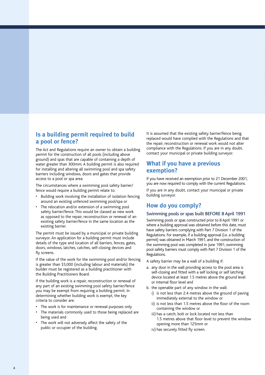## **Is a building permit required to build a pool or fence?**

The Act and Regulations require an owner to obtain a building permit for the construction of all pools (including above ground) and spas that are capable of containing a depth of water greater than 300mm. A building permit is also required for installing and altering all swimming pool and spa safety barriers including windows, doors and gates that provide access to a pool or spa area.

The circumstances where a swimming pool safety barrier/ fence would require a building permit relate to:

- Building work involving the installation of isolation fencing around an existing unfenced swimming pool/spa or
- The relocation and/or extension of a swimming pool safety barrier/fence. This would be classed as new work as opposed to the repair, reconstruction or renewal of an existing safety barrier/fence in the same location as the existing barrier.

The permit must be issued by a municipal or private building surveyor. An application for a building permit must include details of the type and location of all barriers, fences, gates, doors, windows, latches, catches, self-closing devices and fly screens.

If the value of the work for the swimming pool and/or fencing is greater than \$5,000 (including labour and materials) the builder must be registered as a building practitioner with the Building Practitioners Board.

If the building work is a repair, reconstruction or renewal of any part of an existing swimming pool safety barrier/fence you may be exempt from requiring a building permit. In determining whether building work is exempt, the key criteria to consider are:

- The work is for maintenance or renewal purposes only
- The materials commonly used to those being replaced are being used and
- The work will not adversely affect the safety of the public or occupier of the building.

It is assumed that the existing safety barrier/fence being replaced would have complied with the Regulations and that the repair, reconstruction or renewal work would not alter compliance with the Regulations. If you are in any doubt, contact your municipal or private building surveyor.

## **What if you have a previous exemption?**

If you have received an exemption prior to 21 December 2001, you are now required to comply with the current Regulations.

If you are in any doubt, contact your municipal or private building surveyor.

### **How do you comply?**

#### Swimming pools or spas built BEFORE 8 April 1991

Swimming pools or spas constructed prior to 8 April 1991 or where a building approval was obtained before this date, must have safety barriers complying with Part 7 Division 1 of the Regulations. For example, if a building approval (i.e. a building permit) was obtained in March 1991, and the construction of the swimming pool was completed in June 1991, swimming pool safety barriers must comply with Part 7 Division 1 of the Regulations.

A safety barrier may be a wall of a building if:

- a. any door in the wall providing access to the pool area is self-closing and fitted with a self locking or self latching device located at least 1.5 metres above the ground level or internal floor level and
- b. the openable part of any window in the wall:
	- i) is not less than 2.4 metres above the ground of paving immediately external to the window or
	- ii) is not less than 1.5 metres above the floor of the room containing the window or
	- iii) has a catch, bolt or lock located not less than 1.5 metres above that floor level to prevent the window opening more than 125mm or
	- iv) has securely fitted fly screen.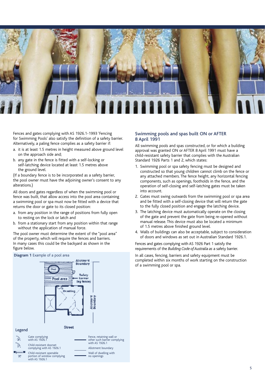

Fences and gates complying with AS 1926.1-1993 'Fencing for Swimming Pools' also satisfy the definition of a safety barrier. Alternatively, a paling fence complies as a safety barrier if:

- a. it is at least 1.5 metres in height measured above ground level on the approach side and;
- b. any gate in the fence is fitted with a self-locking or self-latching device located at least 1.5 metres above the ground level.

(If a boundary fence is to be incorporated as a safety barrier, the pool owner must have the adjoining owner's consent to any alterations.)

All doors and gates regardless of when the swimming pool or fence was built, that allow access into the pool area containing a swimming pool or spa must now be fitted with a device that returns the door or gate to its closed position:

- a. from any position in the range of positions from fully open to resting on the lock or latch and
- b. from a stationary start from any position within that range without the application of manual force.

The pool owner must determine the extent of the "pool area" of the property, which will require the fences and barriers. In many cases this could be the backyard as shown in the figure below.

#### **Diagram 1** Example of a pool area



#### Swimming pools and spas built ON or AFTER 8 April 1991

All swimming pools and spas constructed, or for which a building approval was granted ON or AFTER 8 April 1991 must have a child-resistant safety barrier that complies with the Australian Standard 1926 Parts 1 and 2, which states:

- 1. Swimming pool or spa safety fencing must be designed and constructed so that young children cannot climb on the fence or any attached members. The fence height, any horizontal fencing components, such as openings, footholds in the fence, and the operation of self-closing and self-latching gates must be taken into account.
- 2. Gates must swing outwards from the swimming pool or spa area and be fitted with a self-closing device that will return the gate to the fully closed position and engage the latching device.
- 3. The latching device must automatically operate on the closing of the gate and prevent the gate from being re-opened without manual release. This device must also be located a minimum of 1.5 metres above finished ground level.
- 4. Walls of buildings can also be acceptable, subject to consideration of doors and windows as set out in Australian Standard 1926.1.

Fences and gates complying with AS 1926 Part 1 satisfy the requirements of the *Building Code of Australia as* a safety barrier.

In all cases, fencing, barriers and safety equipment must be completed within six months of work starting on the construction of a swimming pool or spa.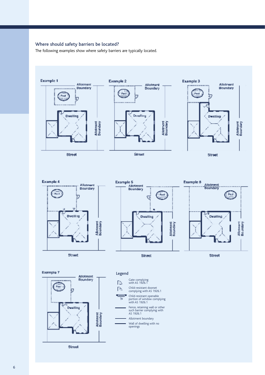#### Where should safety barriers be located?

The following examples show where safety barriers are typically located.



Street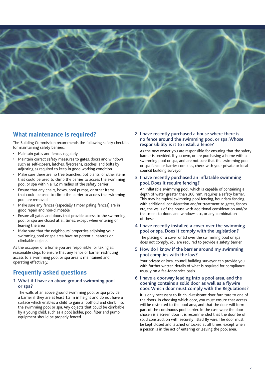

## **What maintenance is required?**

The Building Commission recommends the following safety checklist for maintaining safety barriers:

- Maintain gates and fences regularly
- Maintain correct safety measures to gates, doors and windows such as self-closers, latches, flyscreens, catches, and bolts by adjusting as required to keep in good working condition
- Make sure there are no tree branches, pot plants, or other items that could be used to climb the barrier to access the swimming pool or spa within a 1.2 m radius of the safety barrier
- Ensure that any chairs, boxes, pool pumps, or other items that could be used to climb the barrier to access the swimming pool are removed
- Make sure any fences (especially timber paling fences) are in good repair and non-climbable
- Ensure all gates and doors that provide access to the swimming pool or spa are closed at all times, except when entering or leaving the area
- Make sure that the neighbours' properties adjoining your swimming pool or spa area have no potential hazards or climbable objects.

As the occupier of a home you are responsible for taking all reasonable steps to ensure that any fence or barrier restricting access to a swimming pool or spa area is maintained and operating effectively.

## **Frequently asked questions**

#### 1. What if I have an above ground swimming pool or spa?

 The walls of an above ground swimming pool or spa provide a barrier if they are at least 1.2 m in height and do not have a surface which enables a child to gain a foothold and climb into the swimming pool or spa. Any objects that could be climbable by a young child, such as a pool ladder, pool filter and pump equipment should be properly fenced.

#### 2. I have recently purchased a house where there is no fence around the swimming pool or spa. Whose responsibility is it to install a fence?

 As the new owner you are responsible for ensuring that the safety barrier is provided. If you own, or are purchasing a home with a swimming pool or spa, and are not sure that the swimming pool or spa fence or barrier complies, check with your private or local council building surveyor.

#### 3. I have recently purchased an inflatable swimming pool. Does it require fencing?

 An inflatable swimming pool, which is capable of containing a depth of water greater than 300 mm, requires a safety barrier. This may be typical swimming pool fencing, boundary fencing with additional consideration and/or treatment to gates, fences etc, the walls of the house with additional consideration and/or treatment to doors and windows etc, or any combination of these.

#### 4. I have recently installed a cover over the swimming pool or spa. Does it comply with the legislation?

 The placing of a cover or lid over the swimming pool or spa does not comply. You are required to provide a safety barrier.

#### 5. How do I know if the barrier around my swimming pool complies with the law?

 Your private or local council building surveyor can provide you with further written details of what is required for compliance usually on a fee-for-service basis.

#### 6. I have a doorway leading into a pool area, and the opening contains a solid door as well as a flywire door. Which door must comply with the Regulations?

 It is only necessary to fit child-resistant door furniture to one of the doors. In choosing which door, you must ensure that access will be restricted to the pool area, and that the door will form part of the continuous pool barrier. In the case were the door chosen is a screen door it is recommended that the door be of solid construction with securely fitted fly wire. The door must be kept closed and latched or locked at all times, except when a person is in the act of entering or leaving the pool area.